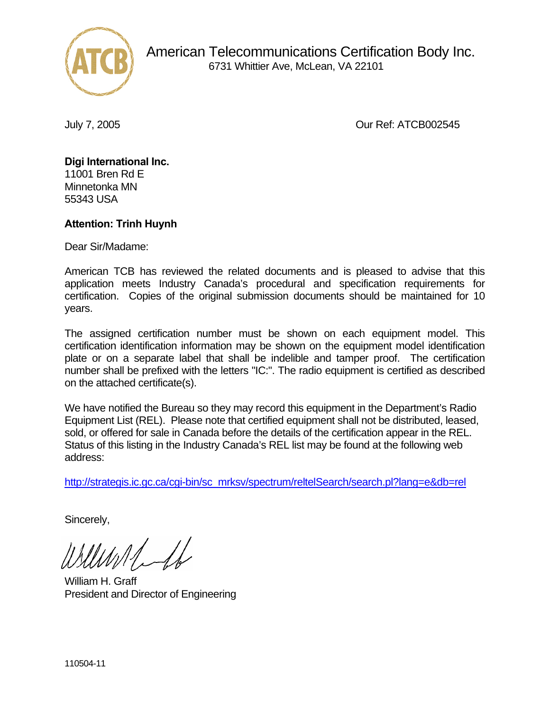

 American Telecommunications Certification Body Inc. 6731 Whittier Ave, McLean, VA 22101

July 7, 2005 Our Ref: ATCB002545

## **Digi International Inc.**  11001 Bren Rd E

Minnetonka MN 55343 USA

## **Attention: Trinh Huynh**

Dear Sir/Madame:

American TCB has reviewed the related documents and is pleased to advise that this application meets Industry Canada's procedural and specification requirements for certification. Copies of the original submission documents should be maintained for 10 years.

The assigned certification number must be shown on each equipment model. This certification identification information may be shown on the equipment model identification plate or on a separate label that shall be indelible and tamper proof. The certification number shall be prefixed with the letters "IC:". The radio equipment is certified as described on the attached certificate(s).

We have notified the Bureau so they may record this equipment in the Department's Radio Equipment List (REL). Please note that certified equipment shall not be distributed, leased, sold, or offered for sale in Canada before the details of the certification appear in the REL. Status of this listing in the Industry Canada's REL list may be found at the following web address:

http://strategis.ic.gc.ca/cgi-bin/sc\_mrksv/spectrum/reltelSearch/search.pl?lang=e&db=rel

Sincerely,

William H. Graff President and Director of Engineering